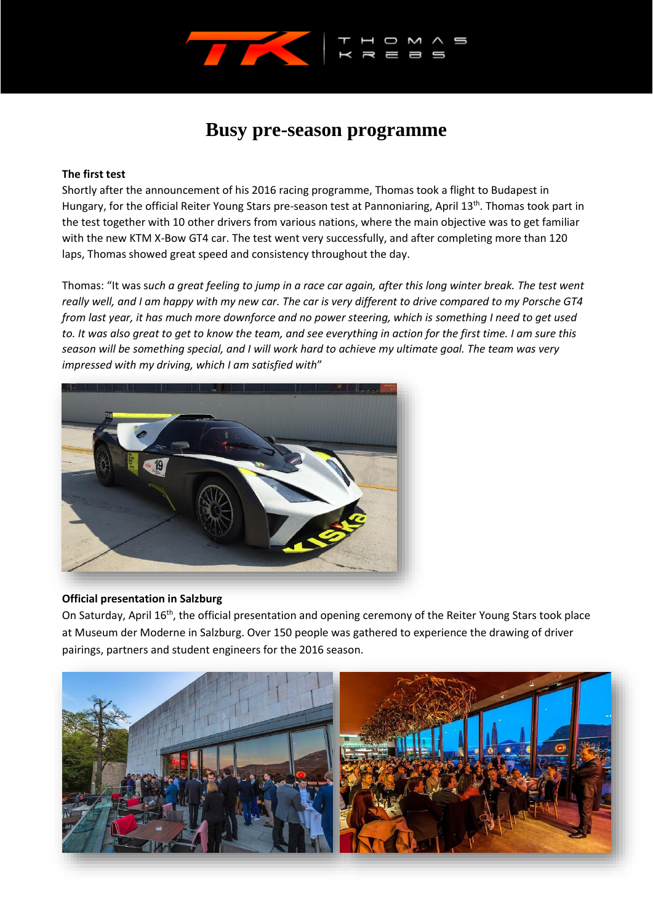

# **Busy pre-season programme**

## **The first test**

Shortly after the announcement of his 2016 racing programme, Thomas took a flight to Budapest in Hungary, for the official Reiter Young Stars pre-season test at Pannoniaring, April 13<sup>th</sup>. Thomas took part in the test together with 10 other drivers from various nations, where the main objective was to get familiar with the new KTM X-Bow GT4 car. The test went very successfully, and after completing more than 120 laps, Thomas showed great speed and consistency throughout the day.

Thomas: "It was s*uch a great feeling to jump in a race car again, after this long winter break. The test went really well, and I am happy with my new car. The car is very different to drive compared to my Porsche GT4 from last year, it has much more downforce and no power steering, which is something I need to get used to. It was also great to get to know the team, and see everything in action for the first time. I am sure this season will be something special, and I will work hard to achieve my ultimate goal. The team was very impressed with my driving, which I am satisfied with*"



#### **Official presentation in Salzburg**

On Saturday, April 16<sup>th</sup>, the official presentation and opening ceremony of the Reiter Young Stars took place at Museum der Moderne in Salzburg. Over 150 people was gathered to experience the drawing of driver pairings, partners and student engineers for the 2016 season.